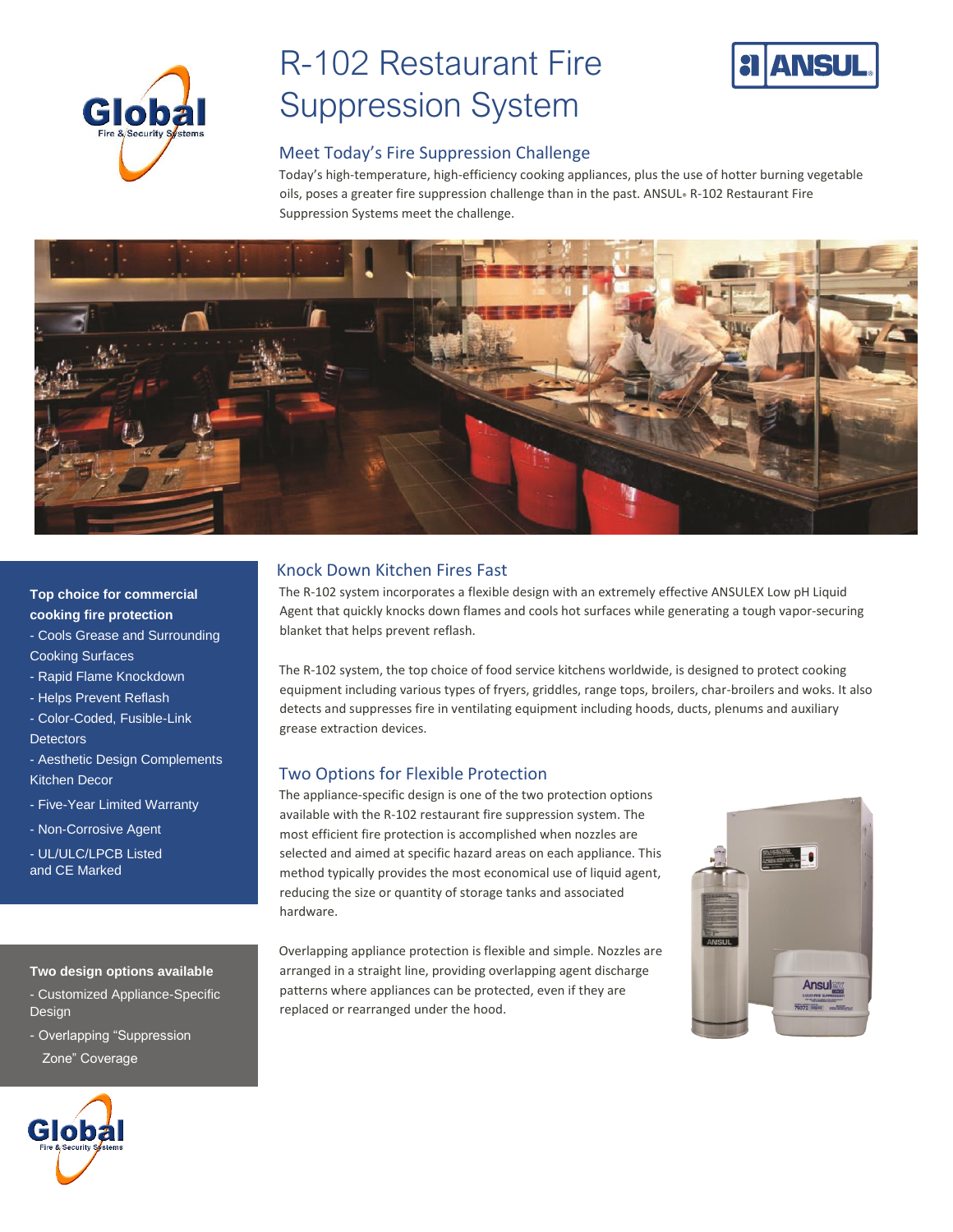

# R-102 Restaurant Fire **Global** Suppression System



### Meet Today's Fire Suppression Challenge

Today's high-temperature, high-efficiency cooking appliances, plus the use of hotter burning vegetable oils, poses a greater fire suppression challenge than in the past. ANSUL® R-102 Restaurant Fire Suppression Systems meet the challenge.



#### **Top choice for commercial cooking fire protection**

- Cools Grease and Surrounding Cooking Surfaces
- Rapid Flame Knockdown
- Helps Prevent Reflash
- Color-Coded, Fusible-Link **Detectors**
- Aesthetic Design Complements
- Kitchen Decor
- Five-Year Limited Warranty
- Non-Corrosive Agent
- UL/ULC/LPCB Listed and CE Marked

#### **Two design options available**

- Customized Appliance-Specific Design
- Overlapping "Suppression Zone" Coverage



### Knock Down Kitchen Fires Fast

The R-102 system incorporates a flexible design with an extremely effective ANSULEX Low pH Liquid Agent that quickly knocks down flames and cools hot surfaces while generating a tough vapor-securing blanket that helps prevent reflash.

The R-102 system, the top choice of food service kitchens worldwide, is designed to protect cooking equipment including various types of fryers, griddles, range tops, broilers, char-broilers and woks. It also detects and suppresses fire in ventilating equipment including hoods, ducts, plenums and auxiliary grease extraction devices.

### Two Options for Flexible Protection

The appliance-specific design is one of the two protection options available with the R-102 restaurant fire suppression system. The most efficient fire protection is accomplished when nozzles are selected and aimed at specific hazard areas on each appliance. This method typically provides the most economical use of liquid agent, reducing the size or quantity of storage tanks and associated hardware.

Overlapping appliance protection is flexible and simple. Nozzles are arranged in a straight line, providing overlapping agent discharge patterns where appliances can be protected, even if they are replaced or rearranged under the hood.

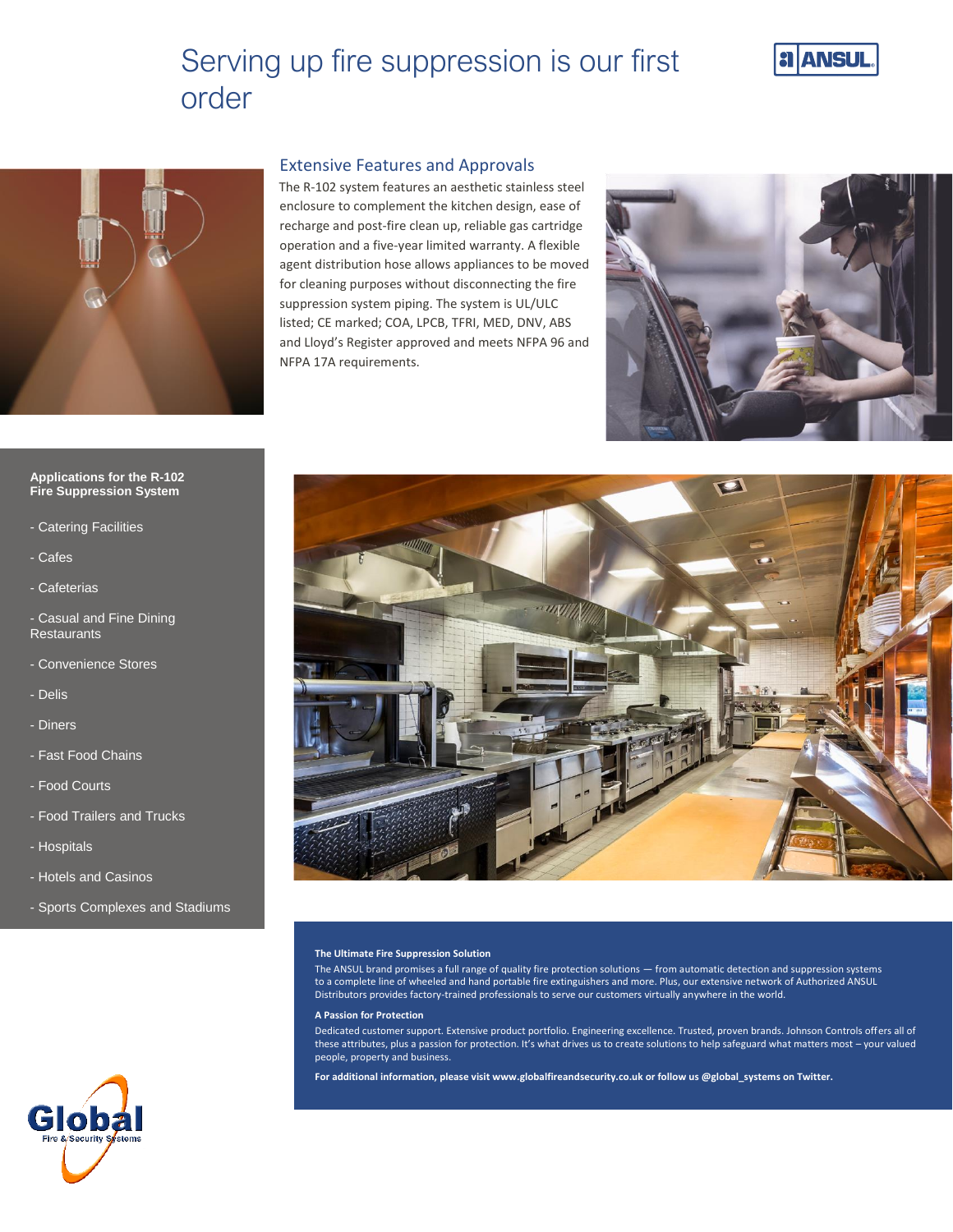## Serving up fire suppression is our first order





#### Extensive Features and Approvals

The R-102 system features an aesthetic stainless steel enclosure to complement the kitchen design, ease of recharge and post-fire clean up, reliable gas cartridge operation and a five-year limited warranty. A flexible agent distribution hose allows appliances to be moved for cleaning purposes without disconnecting the fire suppression system piping. The system is UL/ULC listed; CE marked; COA, LPCB, TFRI, MED, DNV, ABS and Lloyd's Register approved and meets NFPA 96 and NFPA 17A requirements.



#### **Applications for the R-102 Fire Suppression System**

- Catering Facilities
- Cafes
- Cafeterias

- Casual and Fine Dining **Restaurants** 

- Convenience Stores
- Delis
- Diners
- Fast Food Chains
- Food Courts
- Food Trailers and Trucks
- Hospitals
- Hotels and Casinos
- Sports Complexes and Stadiums



#### **The Ultimate Fire Suppression Solution**

The ANSUL brand promises a full range of quality fire protection solutions — from automatic detection and suppression systems to a complete line of wheeled and hand portable fire extinguishers and more. Plus, our extensive network of Authorized ANSUL Distributors provides factory-trained professionals to serve our customers virtually anywhere in the world.

#### **A Passion for Protection**

Dedicated customer support. Extensive product portfolio. Engineering excellence. Trusted, proven brands. Johnson Controls offers all of these attributes, plus a passion for protection. It's what drives us to create solutions to help safeguard what matters most – your valued people, property and business.

**For additional information, please visit www.globalfireandsecurity.co.uk or follow us @global\_systems on Twitter.**